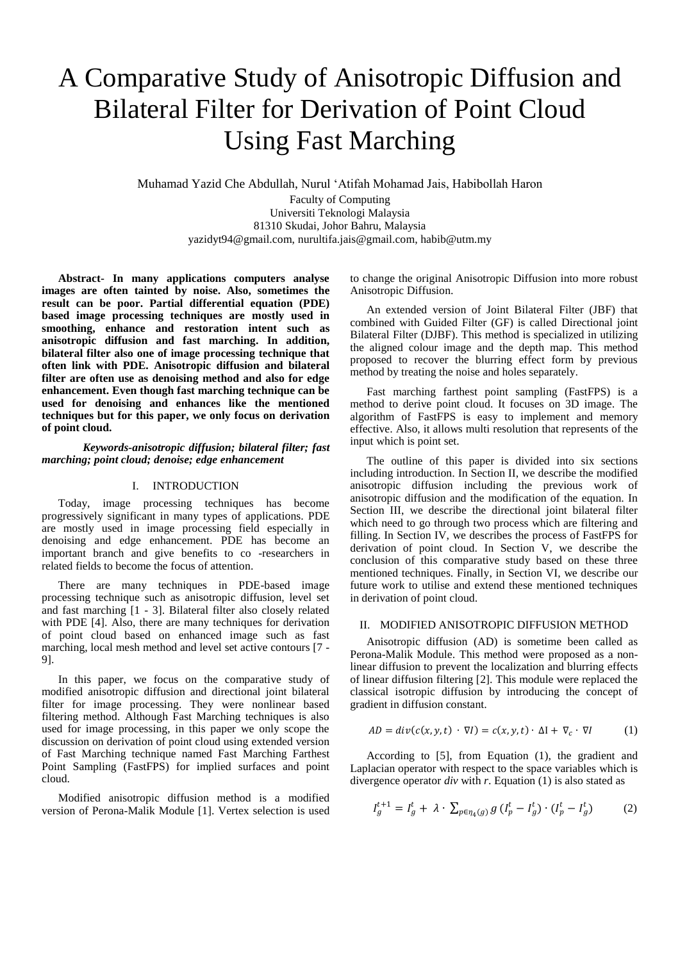# A Comparative Study of Anisotropic Diffusion and Bilateral Filter for Derivation of Point Cloud Using Fast Marching

Muhamad Yazid Che Abdullah, Nurul 'Atifah Mohamad Jais, Habibollah Haron

Faculty of Computing Universiti Teknologi Malaysia 81310 Skudai, Johor Bahru, Malaysia yazidyt94@gmail.com, nurultifa.jais@gmail.com, habib@utm.my

**Abstract- In many applications computers analyse images are often tainted by noise. Also, sometimes the result can be poor. Partial differential equation (PDE) based image processing techniques are mostly used in smoothing, enhance and restoration intent such as anisotropic diffusion and fast marching. In addition, bilateral filter also one of image processing technique that often link with PDE. Anisotropic diffusion and bilateral filter are often use as denoising method and also for edge enhancement. Even though fast marching technique can be used for denoising and enhances like the mentioned techniques but for this paper, we only focus on derivation of point cloud.**

*Keywords-anisotropic diffusion; bilateral filter; fast marching; point cloud; denoise; edge enhancement*

## I. INTRODUCTION

Today, image processing techniques has become progressively significant in many types of applications. PDE are mostly used in image processing field especially in denoising and edge enhancement. PDE has become an important branch and give benefits to co -researchers in related fields to become the focus of attention.

There are many techniques in PDE-based image processing technique such as anisotropic diffusion, level set and fast marching [1 - 3]. Bilateral filter also closely related with PDE [4]. Also, there are many techniques for derivation of point cloud based on enhanced image such as fast marching, local mesh method and level set active contours [7 - 9].

In this paper, we focus on the comparative study of modified anisotropic diffusion and directional joint bilateral filter for image processing. They were nonlinear based filtering method. Although Fast Marching techniques is also used for image processing, in this paper we only scope the discussion on derivation of point cloud using extended version of Fast Marching technique named Fast Marching Farthest Point Sampling (FastFPS) for implied surfaces and point cloud.

Modified anisotropic diffusion method is a modified version of Perona-Malik Module [1]. Vertex selection is used to change the original Anisotropic Diffusion into more robust Anisotropic Diffusion.

An extended version of Joint Bilateral Filter (JBF) that combined with Guided Filter (GF) is called Directional joint Bilateral Filter (DJBF). This method is specialized in utilizing the aligned colour image and the depth map. This method proposed to recover the blurring effect form by previous method by treating the noise and holes separately.

Fast marching farthest point sampling (FastFPS) is a method to derive point cloud. It focuses on 3D image. The algorithm of FastFPS is easy to implement and memory effective. Also, it allows multi resolution that represents of the input which is point set.

The outline of this paper is divided into six sections including introduction. In Section II, we describe the modified anisotropic diffusion including the previous work of anisotropic diffusion and the modification of the equation. In Section III, we describe the directional joint bilateral filter which need to go through two process which are filtering and filling. In Section IV, we describes the process of FastFPS for derivation of point cloud. In Section V, we describe the conclusion of this comparative study based on these three mentioned techniques. Finally, in Section VI, we describe our future work to utilise and extend these mentioned techniques in derivation of point cloud.

## II. MODIFIED ANISOTROPIC DIFFUSION METHOD

Anisotropic diffusion (AD) is sometime been called as Perona-Malik Module. This method were proposed as a nonlinear diffusion to prevent the localization and blurring effects of linear diffusion filtering [2]. This module were replaced the classical isotropic diffusion by introducing the concept of gradient in diffusion constant.

$$
AD = div(c(x, y, t) \cdot \nabla I) = c(x, y, t) \cdot \Delta I + \nabla_c \cdot \nabla I \tag{1}
$$

According to [5], from Equation (1), the gradient and Laplacian operator with respect to the space variables which is divergence operator *div* with *r*. Equation (1) is also stated as

$$
I_g^{t+1} = I_g^t + \lambda \cdot \sum_{p \in \eta_4(g)} g(I_p^t - I_g^t) \cdot (I_p^t - I_g^t)
$$
 (2)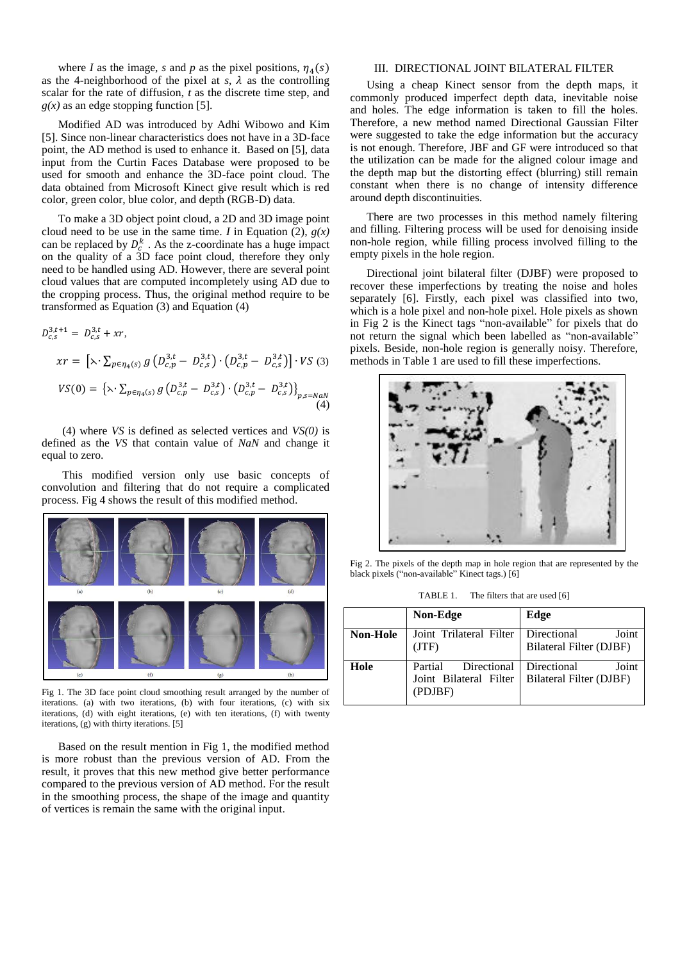where *I* as the image, *s* and *p* as the pixel positions,  $\eta_4(s)$ as the 4-neighborhood of the pixel at  $s$ ,  $\lambda$  as the controlling scalar for the rate of diffusion, *t* as the discrete time step, and  $g(x)$  as an edge stopping function [5].

Modified AD was introduced by Adhi Wibowo and Kim [5]. Since non-linear characteristics does not have in a 3D-face point, the AD method is used to enhance it. Based on [5], data input from the Curtin Faces Database were proposed to be used for smooth and enhance the 3D-face point cloud. The data obtained from Microsoft Kinect give result which is red color, green color, blue color, and depth (RGB-D) data.

To make a 3D object point cloud, a 2D and 3D image point cloud need to be use in the same time. *I* in Equation (2),  $g(x)$ can be replaced by  $D_c^k$ . As the z-coordinate has a huge impact on the quality of a 3D face point cloud, therefore they only need to be handled using AD. However, there are several point cloud values that are computed incompletely using AD due to the cropping process. Thus, the original method require to be transformed as Equation (3) and Equation (4)

$$
D_{c,s}^{3,t+1} = D_{c,s}^{3,t} + xr,
$$
  
\n
$$
xr = \left[\lambda \cdot \sum_{p \in \eta_4(s)} g\left(D_{c,p}^{3,t} - D_{c,s}^{3,t}\right) \cdot \left(D_{c,p}^{3,t} - D_{c,s}^{3,t}\right)\right] \cdot VS
$$
\n
$$
VS(0) = \left\{\lambda \cdot \sum_{p \in \eta_4(s)} g\left(D_{c,p}^{3,t} - D_{c,s}^{3,t}\right) \cdot \left(D_{c,p}^{3,t} - D_{c,s}^{3,t}\right)\right\}_{p,s=NaN}
$$
\n(4)

(4) where *VS* is defined as selected vertices and *VS(0)* is defined as the *VS* that contain value of *NaN* and change it equal to zero.

This modified version only use basic concepts of convolution and filtering that do not require a complicated process. Fig 4 shows the result of this modified method.



Fig 1. The 3D face point cloud smoothing result arranged by the number of iterations. (a) with two iterations, (b) with four iterations, (c) with six iterations, (d) with eight iterations, (e) with ten iterations, (f) with twenty iterations, (g) with thirty iterations. [5]

Based on the result mention in Fig 1, the modified method is more robust than the previous version of AD. From the result, it proves that this new method give better performance compared to the previous version of AD method. For the result in the smoothing process, the shape of the image and quantity of vertices is remain the same with the original input.

## III. DIRECTIONAL JOINT BILATERAL FILTER

Using a cheap Kinect sensor from the depth maps, it commonly produced imperfect depth data, inevitable noise and holes. The edge information is taken to fill the holes. Therefore, a new method named Directional Gaussian Filter were suggested to take the edge information but the accuracy is not enough. Therefore, JBF and GF were introduced so that the utilization can be made for the aligned colour image and the depth map but the distorting effect (blurring) still remain constant when there is no change of intensity difference around depth discontinuities.

There are two processes in this method namely filtering and filling. Filtering process will be used for denoising inside non-hole region, while filling process involved filling to the empty pixels in the hole region.

Directional joint bilateral filter (DJBF) were proposed to recover these imperfections by treating the noise and holes separately [6]. Firstly, each pixel was classified into two, which is a hole pixel and non-hole pixel. Hole pixels as shown in Fig 2 is the Kinect tags "non-available" for pixels that do not return the signal which been labelled as "non-available" pixels. Beside, non-hole region is generally noisy. Therefore, methods in Table 1 are used to fill these imperfections.



Fig 2. The pixels of the depth map in hole region that are represented by the black pixels ("non-available" Kinect tags.) [6]

| TABLE 1. | The filters that are used [6] |  |
|----------|-------------------------------|--|
|----------|-------------------------------|--|

|                 | Non-Edge                                                             | Edge                                                   |
|-----------------|----------------------------------------------------------------------|--------------------------------------------------------|
| <b>Non-Hole</b> | Joint Trilateral Filter<br>(TTF)                                     | Directional<br>Joint<br><b>Bilateral Filter (DJBF)</b> |
| Hole            | Partial Directional Directional<br>Joint Bilateral Filter<br>(PDJBF) | Joint<br>Bilateral Filter (DJBF)                       |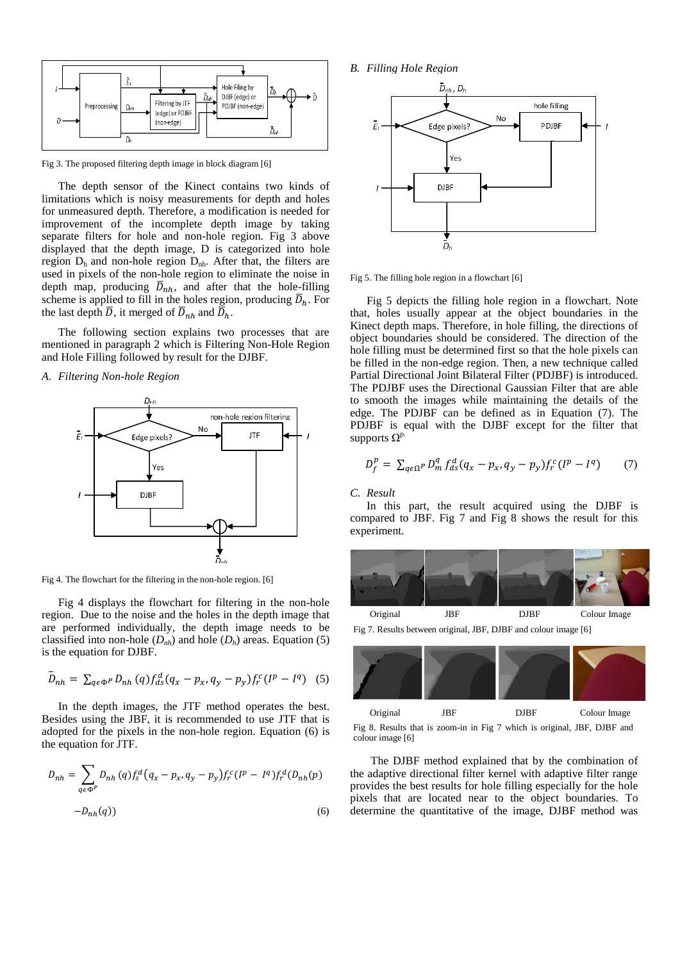

Fig 3. The proposed filtering depth image in block diagram [6]

The depth sensor of the Kinect contains two kinds of limitations which is noisy measurements for depth and holes for unmeasured depth. Therefore, a modification is needed for improvement of the incomplete depth image by taking separate filters for hole and non-hole region. Fig 3 above displayed that the depth image, D is categorized into hole region  $D_h$  and non-hole region  $D_{hh}$ . After that, the filters are used in pixels of the non-hole region to eliminate the noise in depth map, producing  $\overline{D}_{nh}$ , and after that the hole-filling scheme is applied to fill in the holes region, producing  $\overline{D}_h$ . For the last depth  $\overline{D}$ , it merged of  $\overline{D}_{nh}$  and  $\overline{D}_{h}$ .

The following section explains two processes that are mentioned in paragraph 2 which is Filtering Non-Hole Region and Hole Filling followed by result for the DJBF.

*A. Filtering Non-hole Region*



Fig 4. The flowchart for the filtering in the non-hole region. [6]

Fig 4 displays the flowchart for filtering in the non-hole region. Due to the noise and the holes in the depth image that are performed individually, the depth image needs to be classified into non-hole  $(D<sub>nh</sub>)$  and hole  $(D<sub>h</sub>)$  areas. Equation (5) is the equation for DJBF.

$$
\bar{D}_{nh} = \sum_{q \in \Phi^P} D_{nh}(q) f_{ds}^d (q_x - p_x, q_y - p_y) f_r^c (I^p - I^q)
$$
 (5)

In the depth images, the JTF method operates the best. Besides using the JBF, it is recommended to use JTF that is adopted for the pixels in the non-hole region. Equation (6) is the equation for JTF.

$$
D_{nh} = \sum_{q \in \Phi^P} D_{nh}(q) f_s^d (q_x - p_x, q_y - p_y) f_r^c (I^p - I^q) f_r^d (D_{nh}(p) -D_{nh}(q))
$$
\n(6)



Fig 5. The filling hole region in a flowchart [6]

Fig 5 depicts the filling hole region in a flowchart. Note that, holes usually appear at the object boundaries in the Kinect depth maps. Therefore, in hole filling, the directions of object boundaries should be considered. The direction of the hole filling must be determined first so that the hole pixels can be filled in the non-edge region. Then, a new technique called Partial Directional Joint Bilateral Filter (PDJBF) is introduced. The PDJBF uses the Directional Gaussian Filter that are able to smooth the images while maintaining the details of the edge. The PDJBF can be defined as in Equation (7). The PDJBF is equal with the DJBF except for the filter that supports  $\Omega^{\text{p}}$ 

$$
D_f^p = \sum_{q \in \Omega^P} D_m^q f_{ds}^d (q_x - p_x, q_y - p_y) f_r^c (I^p - I^q) \tag{7}
$$

### *C. Result*

In this part, the result acquired using the DJBF is compared to JBF. Fig 7 and Fig 8 shows the result for this experiment.



Fig 7. Results between original, JBF, DJBF and colour image [6]



Fig 8. Results that is zoom-in in Fig 7 which is original, JBF, DJBF and colour image [6]

The DJBF method explained that by the combination of the adaptive directional filter kernel with adaptive filter range provides the best results for hole filling especially for the hole pixels that are located near to the object boundaries. To determine the quantitative of the image, DJBF method was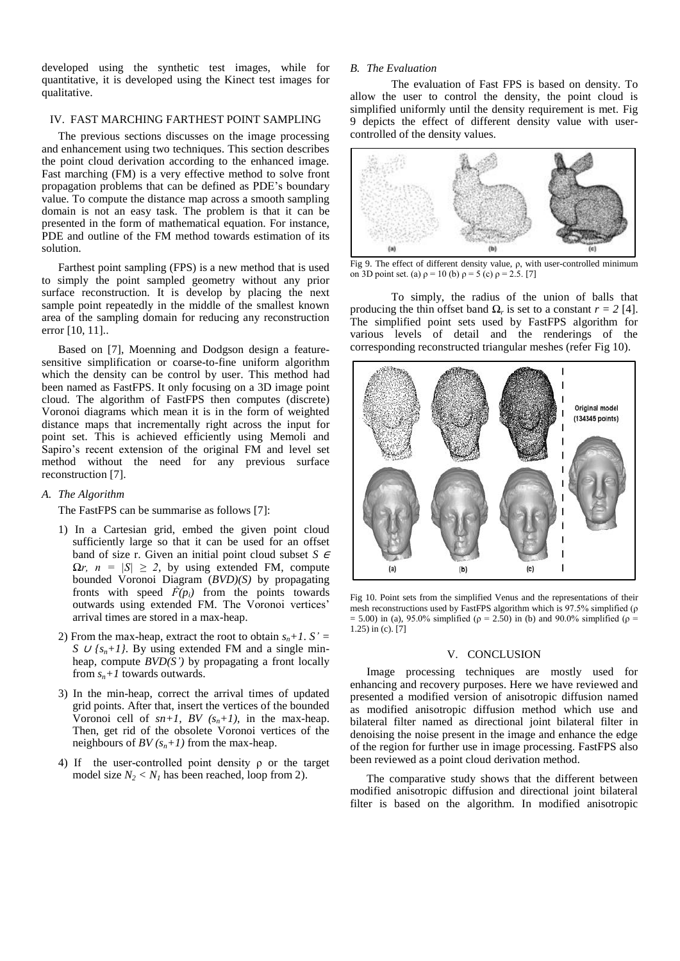developed using the synthetic test images, while for quantitative, it is developed using the Kinect test images for qualitative.

# IV. FAST MARCHING FARTHEST POINT SAMPLING

The previous sections discusses on the image processing and enhancement using two techniques. This section describes the point cloud derivation according to the enhanced image. Fast marching (FM) is a very effective method to solve front propagation problems that can be defined as PDE's boundary value. To compute the distance map across a smooth sampling domain is not an easy task. The problem is that it can be presented in the form of mathematical equation. For instance, PDE and outline of the FM method towards estimation of its solution.

Farthest point sampling (FPS) is a new method that is used to simply the point sampled geometry without any prior surface reconstruction. It is develop by placing the next sample point repeatedly in the middle of the smallest known area of the sampling domain for reducing any reconstruction error [10, 11]..

Based on [7], Moenning and Dodgson design a featuresensitive simplification or coarse-to-fine uniform algorithm which the density can be control by user. This method had been named as FastFPS. It only focusing on a 3D image point cloud. The algorithm of FastFPS then computes (discrete) Voronoi diagrams which mean it is in the form of weighted distance maps that incrementally right across the input for point set. This is achieved efficiently using Memoli and Sapiro's recent extension of the original FM and level set method without the need for any previous surface reconstruction [7].

# *A. The Algorithm*

The FastFPS can be summarise as follows [7]:

- 1) In a Cartesian grid, embed the given point cloud sufficiently large so that it can be used for an offset band of size r. Given an initial point cloud subset *S* <sup>∈</sup>  $\Omega r$ ,  $n = |S| \geq 2$ , by using extended FM, compute bounded Voronoi Diagram (*BVD)(S)* by propagating fronts with speed  $\vec{F}(p_i)$  from the points towards outwards using extended FM. The Voronoi vertices' arrival times are stored in a max-heap.
- 2) From the max-heap, extract the root to obtain  $s_n + 1$ .  $S' =$ *S*  $\cup$  *{s<sub>n</sub>*+*1}*. By using extended FM and a single minheap, compute *BVD(S')* by propagating a front locally from  $s_n + 1$  towards outwards.
- 3) In the min-heap, correct the arrival times of updated grid points. After that, insert the vertices of the bounded Voronoi cell of  $sn+1$ , BV  $(s_n+1)$ , in the max-heap. Then, get rid of the obsolete Voronoi vertices of the neighbours of *BV*  $(s_n+1)$  from the max-heap.
- 4) If the user-controlled point density ρ or the target model size  $N_2 < N_1$  has been reached, loop from 2).

## *B. The Evaluation*

The evaluation of Fast FPS is based on density. To allow the user to control the density, the point cloud is simplified uniformly until the density requirement is met. Fig 9 depicts the effect of different density value with usercontrolled of the density values.



Fig 9. The effect of different density value, ρ, with user-controlled minimum on 3D point set. (a)  $\rho = 10$  (b)  $\rho = 5$  (c)  $\rho = 2.5$ . [7]

To simply, the radius of the union of balls that producing the thin offset band  $\Omega_r$  is set to a constant  $r = 2$  [4]. The simplified point sets used by FastFPS algorithm for various levels of detail and the renderings of the corresponding reconstructed triangular meshes (refer Fig 10).



Fig 10. Point sets from the simplified Venus and the representations of their mesh reconstructions used by FastFPS algorithm which is 97.5% simplified (ρ = 5.00) in (a), 95.0% simplified ( $\rho$  = 2.50) in (b) and 90.0% simplified ( $\rho$  = 1.25) in (c). [7]

#### V. CONCLUSION

Image processing techniques are mostly used for enhancing and recovery purposes. Here we have reviewed and presented a modified version of anisotropic diffusion named as modified anisotropic diffusion method which use and bilateral filter named as directional joint bilateral filter in denoising the noise present in the image and enhance the edge of the region for further use in image processing. FastFPS also been reviewed as a point cloud derivation method.

The comparative study shows that the different between modified anisotropic diffusion and directional joint bilateral filter is based on the algorithm. In modified anisotropic